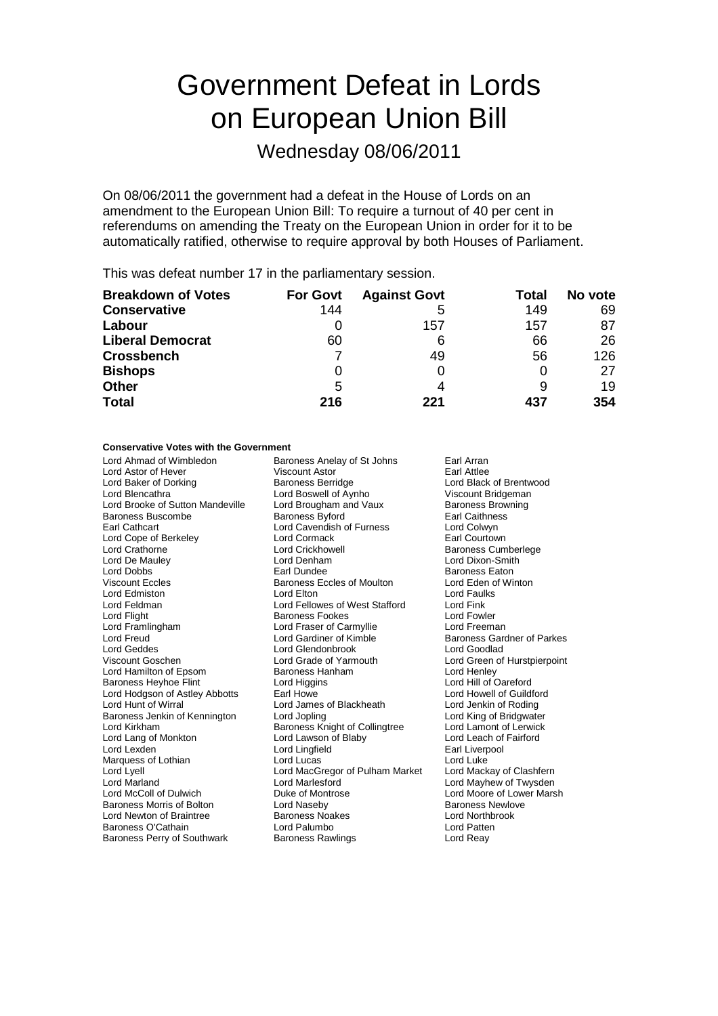# Government Defeat in Lords on European Union Bill

Wednesday 08/06/2011

On 08/06/2011 the government had a defeat in the House of Lords on an amendment to the European Union Bill: To require a turnout of 40 per cent in referendums on amending the Treaty on the European Union in order for it to be automatically ratified, otherwise to require approval by both Houses of Parliament.

This was defeat number 17 in the parliamentary session.

| <b>Breakdown of Votes</b> | <b>For Govt</b> | <b>Against Govt</b> | Total | No vote |
|---------------------------|-----------------|---------------------|-------|---------|
| <b>Conservative</b>       | 144             | 5                   | 149   | 69      |
| Labour                    |                 | 157                 | 157   | 87      |
| <b>Liberal Democrat</b>   | 60              | 6                   | 66    | 26      |
| <b>Crossbench</b>         |                 | 49                  | 56    | 126     |
| <b>Bishops</b>            | 0               | 0                   |       | 27      |
| <b>Other</b>              | 5               | 4                   |       | 19      |
| <b>Total</b>              | 216             | 221                 | 437   | 354     |

### **Conservative Votes with the Government**

| Lord Ahmad of Wimbledon            | Baroness Anelay of St Johns     | Earl Arran                        |
|------------------------------------|---------------------------------|-----------------------------------|
| Lord Astor of Hever                | <b>Viscount Astor</b>           | <b>Farl Attlee</b>                |
| Lord Baker of Dorking              | <b>Baroness Berridge</b>        | Lord Black of Brentwood           |
| Lord Blencathra                    | Lord Boswell of Aynho           | Viscount Bridgeman                |
| Lord Brooke of Sutton Mandeville   | Lord Brougham and Vaux          | <b>Baroness Browning</b>          |
| Baroness Buscombe                  | <b>Baroness Byford</b>          | <b>Earl Caithness</b>             |
| <b>Earl Cathcart</b>               | Lord Cavendish of Furness       | Lord Colwyn                       |
| Lord Cope of Berkeley              | Lord Cormack                    | Earl Courtown                     |
| Lord Crathorne                     | Lord Crickhowell                | <b>Baroness Cumberlege</b>        |
| Lord De Mauley                     | Lord Denham                     | Lord Dixon-Smith                  |
| Lord Dobbs                         | Earl Dundee                     | Baroness Eaton                    |
| <b>Viscount Eccles</b>             | Baroness Eccles of Moulton      | Lord Eden of Winton               |
| Lord Edmiston                      | Lord Elton                      | Lord Faulks                       |
| Lord Feldman                       | Lord Fellowes of West Stafford  | Lord Fink                         |
| Lord Flight                        | <b>Baroness Fookes</b>          | <b>Lord Fowler</b>                |
| Lord Framlingham                   | Lord Fraser of Carmyllie        | Lord Freeman                      |
| Lord Freud                         | Lord Gardiner of Kimble         | <b>Baroness Gardner of Parkes</b> |
| Lord Geddes                        | Lord Glendonbrook               | Lord Goodlad                      |
| Viscount Goschen                   | Lord Grade of Yarmouth          | Lord Green of Hurstpierpoint      |
| Lord Hamilton of Epsom             | Baroness Hanham                 | Lord Henley                       |
| <b>Baroness Heyhoe Flint</b>       | Lord Higgins                    | Lord Hill of Oareford             |
| Lord Hodgson of Astley Abbotts     | Earl Howe                       | Lord Howell of Guildford          |
| Lord Hunt of Wirral                | Lord James of Blackheath        | Lord Jenkin of Roding             |
| Baroness Jenkin of Kennington      | Lord Jopling                    | Lord King of Bridgwater           |
| Lord Kirkham                       | Baroness Knight of Collingtree  | Lord Lamont of Lerwick            |
| Lord Lang of Monkton               | Lord Lawson of Blaby            | Lord Leach of Fairford            |
| Lord Lexden                        | Lord Lingfield                  | Earl Liverpool                    |
| Marquess of Lothian                | Lord Lucas                      | Lord Luke                         |
| Lord Lyell                         | Lord MacGregor of Pulham Market | Lord Mackay of Clashfern          |
| Lord Marland                       | Lord Marlesford                 | Lord Mayhew of Twysden            |
| Lord McColl of Dulwich             | Duke of Montrose                | Lord Moore of Lower Marsh         |
| Baroness Morris of Bolton          | Lord Naseby                     | <b>Baroness Newlove</b>           |
| Lord Newton of Braintree           | <b>Baroness Noakes</b>          | <b>Lord Northbrook</b>            |
| Baroness O'Cathain                 | Lord Palumbo                    | Lord Patten                       |
| <b>Baroness Perry of Southwark</b> | <b>Baroness Rawlings</b>        | Lord Reay                         |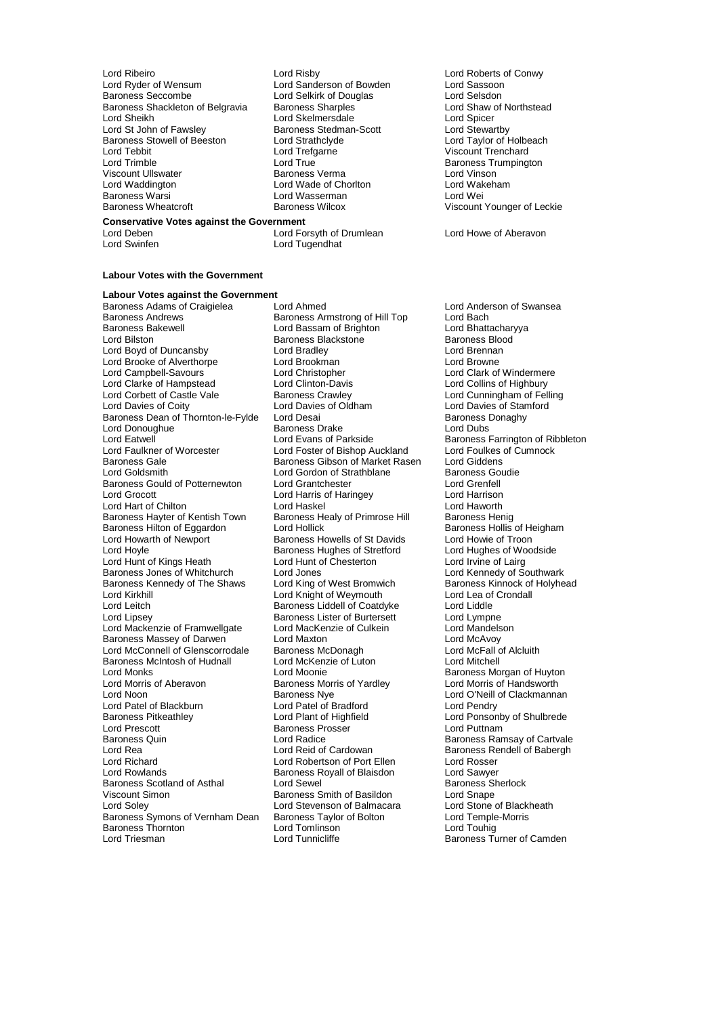- Lord Ribeiro **Lord Risby** Lord Roberts of Conwy<br>
Lord Ryder of Wensum Lord Sanderson of Bowden **Lord Sassoon** Lord Ryder of Wensum Lord Sanderson of Bowden Lord Sassoon Baroness Shackleton of Belgravia Baroness Sharples **Lord Shaw of Northstead Corporation**<br>Lord Sheikh Lord Shicer Lord Skelmersdale Lord Shicer Lord Sheikh Lord Skelmersdale Lord Skelmersdale Lord Sheikh Lord Spicer<br>Lord St John of Fawslev Baroness Stedman-Scott Lord Stewartby Lord St John of Fawsley Baroness Stedman-Scott<br>Baroness Stowell of Beeston Lord Strathclyde Lord Tebbit Lord Tefgarne Communication Corporation Corporation Corporation Corporation Corporation Corporatio<br>
Lord Trefering Lord True Corporation Corporation Corporation Corporation Corporation Corporation Corporation C Lord Trimble Lord True Lord True Lord True Character Baroness Trumpington<br>
Viscount Ullswater Character Baroness Verma Character Lord Vinson Viscount Ullswater Baroness Verma Lord Vinson Lord Waddington **Lord Wade of Chorlton** Lord Wah<br>Raroness Warsi **Raroness Warsi Lord Water Lord Wasserman** Baroness Warsi **Lord Wasserman**<br>Baroness Wheatcroft **Lord Baroness Wilcox** 
	- Lord Selkirk of Douglas<br>Baroness Sharples **Lord Shaw of Northstead**

## **Conservative Votes against the Government**

Lord Deben **Lord Forsyth of Drumlean** Lord Howe of Aberavon<br>
Lord Swinfen **Lord Lord Tugendhat** Lord Tugendhat

### **Labour Votes with the Government**

**Labour Votes against the Government** Baroness Andrews **Baroness Armstrong of Hill Top** Lord Bach<br>Baroness Bakewell **Bach Lord Bassam of Brighton** Lord Bhattacharyya Baroness Bakewell **Research Lord Bassam of Brighton** Cord Bhattachary<br>Cord Bilston **Baroness Blackstone** Baroness Blood Lord Boyd of Duncansby Lord Bradley Lord Brennan Lord Brooke of Alverthorpe Lord Brookman<br>
Lord Campbell-Savours
Lord Christopher Lord Campbell-Savours 
Lord Christopher 
Lord Christopher 
Lord Collins of Hampstead
Lord Clarke of Hampstead
Lord Clinton-Davis
Lord Collins of Highbury
Lord Collins of Highbury
Lord Collins of Highbury
Lord Collins of Hi Lord Clarke of Hampstead Lord Clinton-Davis Lord Collins of Highbury<br>
Lord Corbett of Castle Vale Baroness Crawley Lord Cunningham of Fell Lord Corbett of Castle Vale Baroness Crawley Lord Cunningham of Felling<br>
Lord Davies of Coity Lord Davies of Oldham Lord Davies of Stamford Baroness Dean of Thornton-le-Fylde Lord Desai Baroness Dean Baroness I<br>
Lord Donaughye Baroness Drake Lord Dubs Lord Donoughue<br>
Lord Eatwell<br>
Lord Evans of Parkside Lord Eatwell **Lord Evans of Parkside** Baroness Farrington of Ribbleton<br>
Lord Faulkner of Worcester **Lord Foster of Bishop Auckland** Lord Foulkes of Cumnock Lord Faulkner of Worcester Lord Foster of Bishop Auckland Lord Foulkes of Baroness Gibson of Market Rasen Lord Giddens Baroness Gale **Baroness Gibson of Market Rasen** Lord Giddens<br>**Baroness Gibson of Strathblane** Baroness Goudie Baroness Gould of Potternewton Lord Grantchester **Lord Grenfell**<br>
Lord Grocott **Lord Lord Harris of Haringey** Lord Harrison Lord Hart of Chilton **Lord Haskel** Lord Haskel Lord Haworth Lord Haworth Lord Haworth Lord Haworth Lord Haworth Baroness Henig Baroness Hayter of Kentish Town Baroness Healy of Primrose Hill Baroness Henig<br>Baroness Hilton of Eggardon Lord Hollick Baroness Hollis of Heigham Baroness Hilton of Eggardon Lord Hollick (Baroness Hollis of Heigham Baroness Hollis of Heigham Baroness Hollis of Heigham Baroness Howells of St Davids (Baroness Hollis of Troon Lord Hoyle Baroness Hughes of Stretford Lord Hughes of Woodside Baroness Hughes of Stretford Lord Hughes of Wo<br>Lord Hunt of Kings Heath Lord Hunt of Chesterton Lord Irvine of Lairg Lord Hunt of Kings Heath Lord Hunt of Chesterton Lord Irvine of Lairg Baroness Jones of Whitchurch Lord Jones Lomes Lord Kennedy of Southwark<br>Baroness Kennedy of The Shaws Lord King of West Bromwich Baroness Kinnock of Holyhead Baroness Kennedy of The Shaws Lord King of West Bromwich Baroness Kinnock of Lord King of West Bromwich Baroness Kinnock of Lord King of West Bromouth Lord Kirkhill Lord Kirght of Weymouth Lord Lea of Lord Lea of Lord Lea of Lord Lea of Lord Liddle<br>
Lord Leitch Baroness Liddell of Coatdyke Lord Liddle Lord Leitch Baroness Liddell of Coatdyke Lord Liddle Lord Mackenzie of Framwellgate Lord Mackenzie of Culkein Lord Mandels<br>Baroness Massey of Darwen Lord Maxton Lord Mandels Baroness Massey of Darwen Lord Maxton Lord Maxton Lord McAvoy<br>
Lord McConnell of Glenscorrodale Baroness McDonagh Lord McFall of Alcluith Lord McConnell of Glenscorrodale Baroness McDonagh Lord McFall of Alcluithell C<br>Baroness McIntosh of Hudnall Lord McKenzie of Luton Lord Mitchell Baroness McIntosh of Hudnall Lord Monks<br>
Lord Monks **Lord Monks**<br>
Lord Morris of Aberavon **Baroness Morris of Yardley Baroness Morris of Handsworth** Lord Morris of Aberavon Baroness Morris of Yardley<br>
Baroness Nye Lord Noon **Baroness Nye** Lord O'Neill of Clackmannan<br>
Lord Patel of Blackburn Lord Patel of Bradford Lord Pendry Baroness Pitkeathley **Lord Plant of Highfield** Hight Lord Ponsonby of Shulbrede<br>
Lord Prescott Lord Puttnam<br>
Lord Puttnam Lord Prescott **Contract Present Contract Press** Prosser<br>
Baroness Quin<br>
Lord Radice Baroness Quin Lord Radice Baroness Ramsay of Cartvale Lord Rea Lord Reid of Cardowan Baroness Rendell of Babergh<br>
Lord Richard Lord Robertson of Port Ellen Lord Rosser Lord Richard **Lord Robertson of Port Ellen** Lord Rosser<br>
Lord Rowlands **Lord Rosser Baroness Royall of Blaisdon** Lord Sawyer Baroness Scotland of Asthal Viscount Simon **Communist State Baroness Smith of Basildon** Exercise Cord Snape<br>
Lord Solev<br>
Lord Stevenson of Balmacara Lord Stone of Blackheath Baroness Symons of Vernham Dean Baroness Taylor of Bolton Lord Temple<br>Raroness Thornton Lord Tomlinson Lord Tomlinson Lord Touhig Baroness Thornton Lord Tomlinson<br>
Lord Triesman Lord Tunnicliffe

Baroness Adams of Craigielea Lord Ahmed Lord Anderson of Swansea Exaroness Blackstone<br>
Lord Bradley<br>
Lord Brennan Lord Davies of Oldham Lord Davies of Stamford<br>
Lord Desai<br>
Baroness Donaghy Lord Gordon of Strathblane Baroness Goudier<br>
Lord Grantchester Lord Grenfell Lord Harris of Haringey Lord Harrison<br>
Lord Haskel Cord Haworth Baroness Howells of St Davids Lord Howie of Troon<br>Baroness Hughes of Stretford Lord Hughes of Woodside Lord Lipsey Baroness Lister of Burtersett Lord Lympne Lord Patel of Bradford Lord Rowlands Baroness Royall of Blaisdon Lord Sawyer Lord Stevenson of Balmacara Lord Stone of Black<br>
Baroness Taylor of Bolton Lord Temple-Morris

Lord Taylor of Holbeach Viscount Younger of Leckie

Baroness Turner of Camden